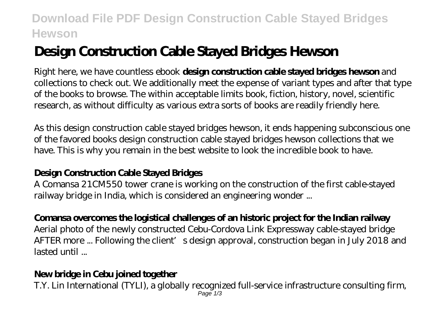## **Download File PDF Design Construction Cable Stayed Bridges Hewson**

# **Design Construction Cable Stayed Bridges Hewson**

Right here, we have countless ebook **design construction cable stayed bridges hewson** and collections to check out. We additionally meet the expense of variant types and after that type of the books to browse. The within acceptable limits book, fiction, history, novel, scientific research, as without difficulty as various extra sorts of books are readily friendly here.

As this design construction cable stayed bridges hewson, it ends happening subconscious one of the favored books design construction cable stayed bridges hewson collections that we have. This is why you remain in the best website to look the incredible book to have.

### **Design Construction Cable Stayed Bridges**

A Comansa 21CM550 tower crane is working on the construction of the first cable-stayed railway bridge in India, which is considered an engineering wonder ...

#### **Comansa overcomes the logistical challenges of an historic project for the Indian railway**

Aerial photo of the newly constructed Cebu-Cordova Link Expressway cable-stayed bridge AFTER more ... Following the client's design approval, construction began in July 2018 and lasted until ...

#### **New bridge in Cebu joined together**

T.Y. Lin International (TYLI), a globally recognized full-service infrastructure consulting firm, Page  $1/3$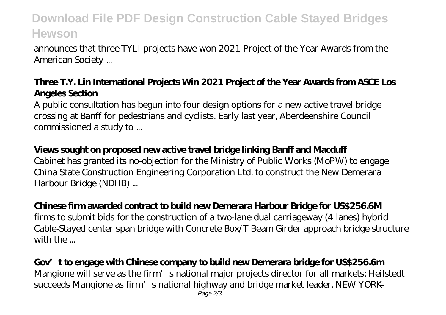## **Download File PDF Design Construction Cable Stayed Bridges Hewson**

announces that three TYLI projects have won 2021 Project of the Year Awards from the American Society ...

#### **Three T.Y. Lin International Projects Win 2021 Project of the Year Awards from ASCE Los Angeles Section**

A public consultation has begun into four design options for a new active travel bridge crossing at Banff for pedestrians and cyclists. Early last year, Aberdeenshire Council commissioned a study to ...

#### **Views sought on proposed new active travel bridge linking Banff and Macduff**

Cabinet has granted its no-objection for the Ministry of Public Works (MoPW) to engage China State Construction Engineering Corporation Ltd. to construct the New Demerara Harbour Bridge (NDHB) ...

#### **Chinese firm awarded contract to build new Demerara Harbour Bridge for US\$256.6M**

firms to submit bids for the construction of a two-lane dual carriageway (4 lanes) hybrid Cable-Stayed center span bridge with Concrete Box/T Beam Girder approach bridge structure with the ...

#### **Gov't to engage with Chinese company to build new Demerara bridge for US\$256.6m** Mangione will serve as the firm's national major projects director for all markets; Heilstedt succeeds Mangione as firm's national highway and bridge market leader. NEW YORK — Page 2/3